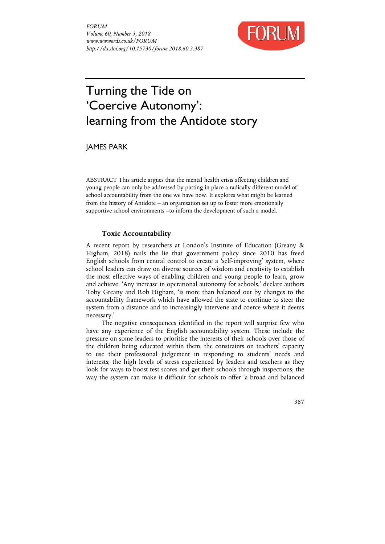

# Turning the Tide on 'Coercive Autonomy': learning from the Antidote story

JAMES PARK

ABSTRACT This article argues that the mental health crisis affecting children and young people can only be addressed by putting in place a radically different model of school accountability from the one we have now. It explores what might be learned from the history of Antidote – an organisation set up to foster more emotionally supportive school environments –to inform the development of such a model.

## **Toxic Accountability**

A recent report by researchers at London's Institute of Education (Greany & Higham, 2018) nails the lie that government policy since 2010 has freed English schools from central control to create a 'self-improving' system, where school leaders can draw on diverse sources of wisdom and creativity to establish the most effective ways of enabling children and young people to learn, grow and achieve. 'Any increase in operational autonomy for schools,' declare authors Toby Greany and Rob Higham, 'is more than balanced out by changes to the accountability framework which have allowed the state to continue to steer the system from a distance and to increasingly intervene and coerce where it deems necessary.'

The negative consequences identified in the report will surprise few who have any experience of the English accountability system. These include the pressure on some leaders to prioritise the interests of their schools over those of the children being educated within them; the constraints on teachers' capacity to use their professional judgement in responding to students' needs and interests; the high levels of stress experienced by leaders and teachers as they look for ways to boost test scores and get their schools through inspections; the way the system can make it difficult for schools to offer 'a broad and balanced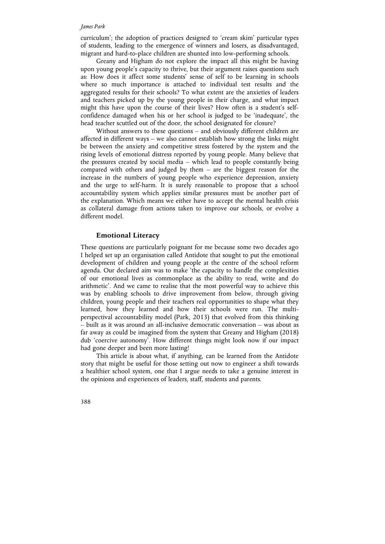#### *James Park*

curriculum'; the adoption of practices designed to 'cream skim' particular types of students, leading to the emergence of winners and losers, as disadvantaged, migrant and hard-to-place children are shunted into low-performing schools.

Greany and Higham do not explore the impact all this might be having upon young people's capacity to thrive, but their argument raises questions such as: How does it affect some students' sense of self to be learning in schools where so much importance is attached to individual test results and the aggregated results for their schools? To what extent are the anxieties of leaders and teachers picked up by the young people in their charge, and what impact might this have upon the course of their lives? How often is a student's selfconfidence damaged when his or her school is judged to be 'inadequate', the head teacher scuttled out of the door, the school designated for closure?

Without answers to these questions – and obviously different children are affected in different ways – we also cannot establish how strong the links might be between the anxiety and competitive stress fostered by the system and the rising levels of emotional distress reported by young people. Many believe that the pressures created by social media – which lead to people constantly being compared with others and judged by them – are the biggest reason for the increase in the numbers of young people who experience depression, anxiety and the urge to self-harm. It is surely reasonable to propose that a school accountability system which applies similar pressures must be another part of the explanation. Which means we either have to accept the mental health crisis as collateral damage from actions taken to improve our schools, or evolve a different model.

#### **Emotional Literacy**

These questions are particularly poignant for me because some two decades ago I helped set up an organisation called Antidote that sought to put the emotional development of children and young people at the centre of the school reform agenda. Our declared aim was to make 'the capacity to handle the complexities of our emotional lives as commonplace as the ability to read, write and do arithmetic'. And we came to realise that the most powerful way to achieve this was by enabling schools to drive improvement from below, through giving children, young people and their teachers real opportunities to shape what they learned, how they learned and how their schools were run. The multiperspectival accountability model (Park, 2013) that evolved from this thinking – built as it was around an all-inclusive democratic conversation – was about as far away as could be imagined from the system that Greany and Higham (2018) dub 'coercive autonomy'. How different things might look now if our impact had gone deeper and been more lasting!

This article is about what, if anything, can be learned from the Antidote story that might be useful for those setting out now to engineer a shift towards a healthier school system, one that I argue needs to take a genuine interest in the opinions and experiences of leaders, staff, students and parents.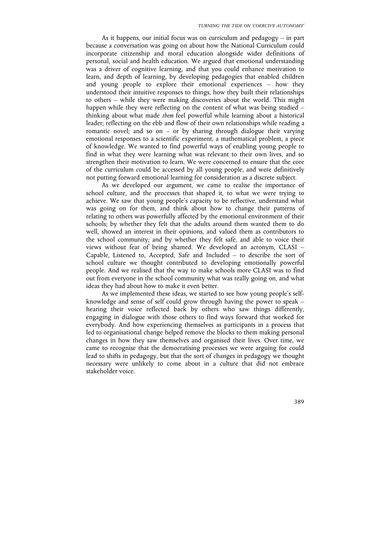As it happens, our initial focus was on curriculum and pedagogy – in part because a conversation was going on about how the National Curriculum could incorporate citizenship and moral education alongside wider definitions of personal, social and health education. We argued that emotional understanding was a driver of cognitive learning, and that you could enhance motivation to learn, and depth of learning, by developing pedagogies that enabled children and young people to explore their emotional experiences – how they understood their intuitive responses to things, how they built their relationships to others – while they were making discoveries about the world. This might happen while they were reflecting on the content of what was being studied – thinking about what made *them* feel powerful while learning about a historical leader; reflecting on the ebb and flow of their own relationships while reading a romantic novel; and so on  $-$  or by sharing through dialogue their varying emotional responses to a scientific experiment, a mathematical problem, a piece of knowledge. We wanted to find powerful ways of enabling young people to find in what they were learning what was relevant to their own lives, and so strengthen their motivation to learn. We were concerned to ensure that the core of the curriculum could be accessed by all young people, and were definitively not putting forward emotional learning for consideration as a discrete subject.

As we developed our argument, we came to realise the importance of school culture, and the processes that shaped it, to what we were trying to achieve. We saw that young people's capacity to be reflective, understand what was going on for them, and think about how to change their patterns of relating to others was powerfully affected by the emotional environment of their schools; by whether they felt that the adults around them wanted them to do well, showed an interest in their opinions, and valued them as contributors to the school community; and by whether they felt safe, and able to voice their views without fear of being shamed. We developed an acronym, CLASI – Capable, Listened to, Accepted, Safe and Included – to describe the sort of school culture we thought contributed to developing emotionally powerful people. And we realised that the way to make schools more CLASI was to find out from everyone in the school community what was really going on, and what ideas they had about how to make it even better.

As we implemented these ideas, we started to see how young people's selfknowledge and sense of self could grow through having the power to speak – hearing their voice reflected back by others who saw things differently, engaging in dialogue with those others to find ways forward that worked for everybody. And how experiencing themselves as participants in a process that led to organisational change helped remove the blocks to them making personal changes in how they saw themselves and organised their lives. Over time, we came to recognise that the democratising processes we were arguing for could lead to shifts in pedagogy, but that the sort of changes in pedagogy we thought necessary were unlikely to come about in a culture that did not embrace stakeholder voice.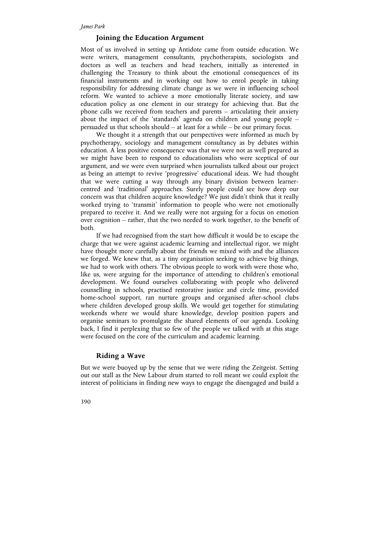## **Joining the Education Argument**

Most of us involved in setting up Antidote came from outside education. We were writers, management consultants, psychotherapists, sociologists and doctors as well as teachers and head teachers, initially as interested in challenging the Treasury to think about the emotional consequences of its financial instruments and in working out how to enrol people in taking responsibility for addressing climate change as we were in influencing school reform. We wanted to achieve a more emotionally literate society, and saw education policy as one element in our strategy for achieving that. But the phone calls we received from teachers and parents – articulating their anxiety about the impact of the 'standards' agenda on children and young people – persuaded us that schools should – at least for a while – be our primary focus.

We thought it a strength that our perspectives were informed as much by psychotherapy, sociology and management consultancy as by debates within education. A less positive consequence was that we were not as well prepared as we might have been to respond to educationalists who were sceptical of our argument, and we were even surprised when journalists talked about our project as being an attempt to revive 'progressive' educational ideas. We had thought that we were cutting a way through any binary division between learnercentred and 'traditional' approaches. Surely people could see how deep our concern was that children acquire knowledge? We just didn't think that it really worked trying to 'transmit' information to people who were not emotionally prepared to receive it. And we really were not arguing for a focus on emotion over cognition – rather, that the two needed to work together, to the benefit of both.

If we had recognised from the start how difficult it would be to escape the charge that we were against academic learning and intellectual rigor, we might have thought more carefully about the friends we mixed with and the alliances we forged. We knew that, as a tiny organisation seeking to achieve big things, we had to work with others. The obvious people to work with were those who, like us, were arguing for the importance of attending to children's emotional development. We found ourselves collaborating with people who delivered counselling in schools, practised restorative justice and circle time, provided home-school support, ran nurture groups and organised after-school clubs where children developed group skills. We would get together for stimulating weekends where we would share knowledge, develop position papers and organise seminars to promulgate the shared elements of our agenda. Looking back, I find it perplexing that so few of the people we talked with at this stage were focused on the core of the curriculum and academic learning.

#### **Riding a Wave**

But we were buoyed up by the sense that we were riding the Zeitgeist. Setting out our stall as the New Labour drum started to roll meant we could exploit the interest of politicians in finding new ways to engage the disengaged and build a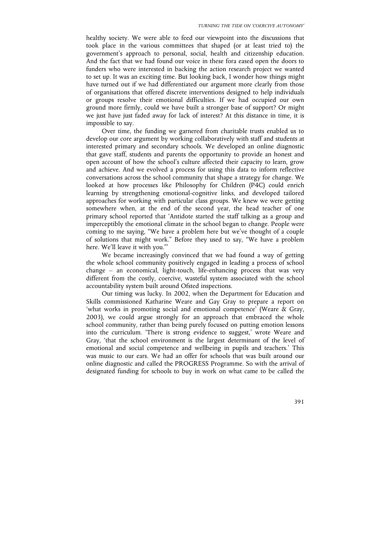healthy society. We were able to feed our viewpoint into the discussions that took place in the various committees that shaped (or at least tried to) the government's approach to personal, social, health and citizenship education. And the fact that we had found our voice in these fora eased open the doors to funders who were interested in backing the action research project we wanted to set up. It was an exciting time. But looking back, I wonder how things might have turned out if we had differentiated our argument more clearly from those of organisations that offered discrete interventions designed to help individuals or groups resolve their emotional difficulties. If we had occupied our own ground more firmly, could we have built a stronger base of support? Or might we just have just faded away for lack of interest? At this distance in time, it is impossible to say.

Over time, the funding we garnered from charitable trusts enabled us to develop our core argument by working collaboratively with staff and students at interested primary and secondary schools. We developed an online diagnostic that gave staff, students and parents the opportunity to provide an honest and open account of how the school's culture affected their capacity to learn, grow and achieve. And we evolved a process for using this data to inform reflective conversations across the school community that shape a strategy for change. We looked at how processes like Philosophy for Children (P4C) could enrich learning by strengthening emotional-cognitive links, and developed tailored approaches for working with particular class groups. We knew we were getting somewhere when, at the end of the second year, the head teacher of one primary school reported that 'Antidote started the staff talking as a group and imperceptibly the emotional climate in the school began to change. People were coming to me saying, "We have a problem here but we've thought of a couple of solutions that might work." Before they used to say, "We have a problem here. We'll leave it with you."'

We became increasingly convinced that we had found a way of getting the whole school community positively engaged in leading a process of school change – an economical, light-touch, life-enhancing process that was very different from the costly, coercive, wasteful system associated with the school accountability system built around Ofsted inspections.

Our timing was lucky. In 2002, when the Department for Education and Skills commissioned Katharine Weare and Gay Gray to prepare a report on 'what works in promoting social and emotional competence' (Weare & Gray, 2003), we could argue strongly for an approach that embraced the whole school community, rather than being purely focused on putting emotion lessons into the curriculum. 'There is strong evidence to suggest,' wrote Weare and Gray, 'that the school environment is the largest determinant of the level of emotional and social competence and wellbeing in pupils and teachers.' This was music to our ears. We had an offer for schools that was built around our online diagnostic and called the PROGRESS Programme. So with the arrival of designated funding for schools to buy in work on what came to be called the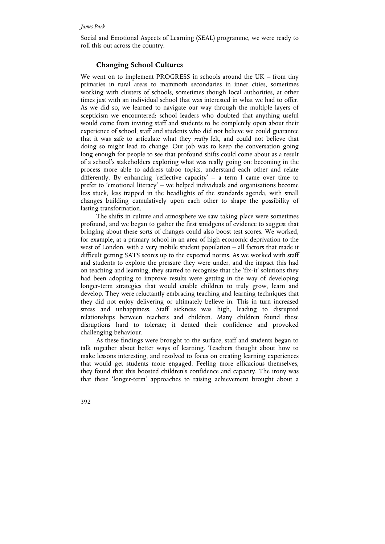Social and Emotional Aspects of Learning (SEAL) programme, we were ready to roll this out across the country.

## **Changing School Cultures**

We went on to implement PROGRESS in schools around the UK – from tiny primaries in rural areas to mammoth secondaries in inner cities, sometimes working with clusters of schools, sometimes though local authorities, at other times just with an individual school that was interested in what we had to offer. As we did so, we learned to navigate our way through the multiple layers of scepticism we encountered: school leaders who doubted that anything useful would come from inviting staff and students to be completely open about their experience of school; staff and students who did not believe we could guarantee that it was safe to articulate what they *really* felt, and could not believe that doing so might lead to change. Our job was to keep the conversation going long enough for people to see that profound shifts could come about as a result of a school's stakeholders exploring what was really going on: becoming in the process more able to address taboo topics, understand each other and relate differently. By enhancing 'reflective capacity' – a term I came over time to prefer to 'emotional literacy' – we helped individuals and organisations become less stuck, less trapped in the headlights of the standards agenda, with small changes building cumulatively upon each other to shape the possibility of lasting transformation.

The shifts in culture and atmosphere we saw taking place were sometimes profound, and we began to gather the first smidgens of evidence to suggest that bringing about these sorts of changes could also boost test scores. We worked, for example, at a primary school in an area of high economic deprivation to the west of London, with a very mobile student population – all factors that made it difficult getting SATS scores up to the expected norms. As we worked with staff and students to explore the pressure they were under, and the impact this had on teaching and learning, they started to recognise that the 'fix-it' solutions they had been adopting to improve results were getting in the way of developing longer-term strategies that would enable children to truly grow, learn and develop. They were reluctantly embracing teaching and learning techniques that they did not enjoy delivering or ultimately believe in. This in turn increased stress and unhappiness. Staff sickness was high, leading to disrupted relationships between teachers and children. Many children found these disruptions hard to tolerate; it dented their confidence and provoked challenging behaviour.

As these findings were brought to the surface, staff and students began to talk together about better ways of learning. Teachers thought about how to make lessons interesting, and resolved to focus on creating learning experiences that would get students more engaged. Feeling more efficacious themselves, they found that this boosted children's confidence and capacity. The irony was that these 'longer-term' approaches to raising achievement brought about a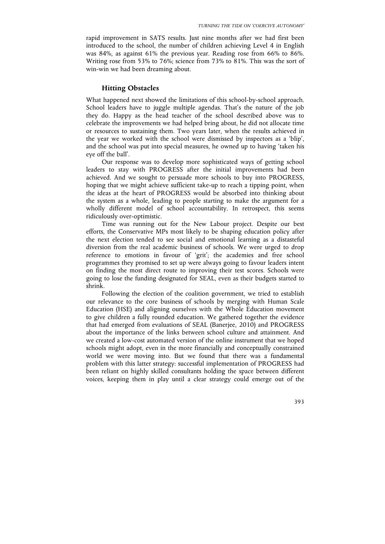rapid improvement in SATS results. Just nine months after we had first been introduced to the school, the number of children achieving Level 4 in English was 84%, as against 61% the previous year. Reading rose from 66% to 86%. Writing rose from 53% to 76%; science from 73% to 81%. This was the sort of win-win we had been dreaming about.

### **Hitting Obstacles**

What happened next showed the limitations of this school-by-school approach. School leaders have to juggle multiple agendas. That's the nature of the job they do. Happy as the head teacher of the school described above was to celebrate the improvements we had helped bring about, he did not allocate time or resources to sustaining them. Two years later, when the results achieved in the year we worked with the school were dismissed by inspectors as a 'blip', and the school was put into special measures, he owned up to having 'taken his eye off the ball'.

Our response was to develop more sophisticated ways of getting school leaders to stay with PROGRESS after the initial improvements had been achieved. And we sought to persuade more schools to buy into PROGRESS, hoping that we might achieve sufficient take-up to reach a tipping point, when the ideas at the heart of PROGRESS would be absorbed into thinking about the system as a whole, leading to people starting to make the argument for a wholly different model of school accountability. In retrospect, this seems ridiculously over-optimistic.

Time was running out for the New Labour project. Despite our best efforts, the Conservative MPs most likely to be shaping education policy after the next election tended to see social and emotional learning as a distasteful diversion from the real academic business of schools. We were urged to drop reference to emotions in favour of 'grit'; the academies and free school programmes they promised to set up were always going to favour leaders intent on finding the most direct route to improving their test scores. Schools were going to lose the funding designated for SEAL, even as their budgets started to shrink.

Following the election of the coalition government, we tried to establish our relevance to the core business of schools by merging with Human Scale Education (HSE) and aligning ourselves with the Whole Education movement to give children a fully rounded education. We gathered together the evidence that had emerged from evaluations of SEAL (Banerjee, 2010) and PROGRESS about the importance of the links between school culture and attainment. And we created a low-cost automated version of the online instrument that we hoped schools might adopt, even in the more financially and conceptually constrained world we were moving into. But we found that there was a fundamental problem with this latter strategy: successful implementation of PROGRESS had been reliant on highly skilled consultants holding the space between different voices, keeping them in play until a clear strategy could emerge out of the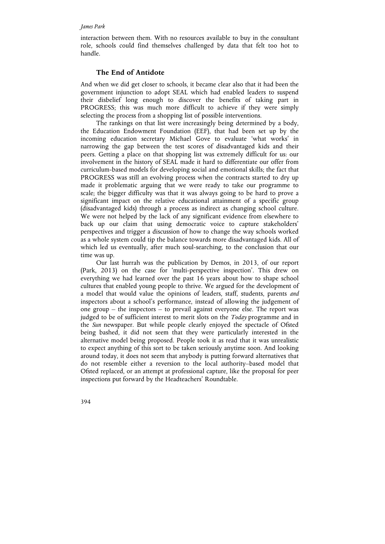#### *James Park*

interaction between them. With no resources available to buy in the consultant role, schools could find themselves challenged by data that felt too hot to handle.

#### **The End of Antidote**

And when we did get closer to schools, it became clear also that it had been the government injunction to adopt SEAL which had enabled leaders to suspend their disbelief long enough to discover the benefits of taking part in PROGRESS; this was much more difficult to achieve if they were simply selecting the process from a shopping list of possible interventions.

The rankings on that list were increasingly being determined by a body, the Education Endowment Foundation (EEF), that had been set up by the incoming education secretary Michael Gove to evaluate 'what works' in narrowing the gap between the test scores of disadvantaged kids and their peers. Getting a place on that shopping list was extremely difficult for us: our involvement in the history of SEAL made it hard to differentiate our offer from curriculum-based models for developing social and emotional skills; the fact that PROGRESS was still an evolving process when the contracts started to dry up made it problematic arguing that we were ready to take our programme to scale; the bigger difficulty was that it was always going to be hard to prove a significant impact on the relative educational attainment of a specific group (disadvantaged kids) through a process as indirect as changing school culture. We were not helped by the lack of any significant evidence from elsewhere to back up our claim that using democratic voice to capture stakeholders' perspectives and trigger a discussion of how to change the way schools worked as a whole system could tip the balance towards more disadvantaged kids. All of which led us eventually, after much soul-searching, to the conclusion that our time was up.

Our last hurrah was the publication by Demos, in 2013, of our report (Park, 2013) on the case for 'multi-perspective inspection'. This drew on everything we had learned over the past 16 years about how to shape school cultures that enabled young people to thrive. We argued for the development of a model that would value the opinions of leaders, staff, students, parents *and* inspectors about a school's performance, instead of allowing the judgement of one group – the inspectors – to prevail against everyone else. The report was judged to be of sufficient interest to merit slots on the *Today* programme and in the *Sun* newspaper. But while people clearly enjoyed the spectacle of Ofsted being bashed, it did not seem that they were particularly interested in the alternative model being proposed. People took it as read that it was unrealistic to expect anything of this sort to be taken seriously anytime soon. And looking around today, it does not seem that anybody is putting forward alternatives that do not resemble either a reversion to the local authority–based model that Ofsted replaced, or an attempt at professional capture, like the proposal for peer inspections put forward by the Headteachers' Roundtable.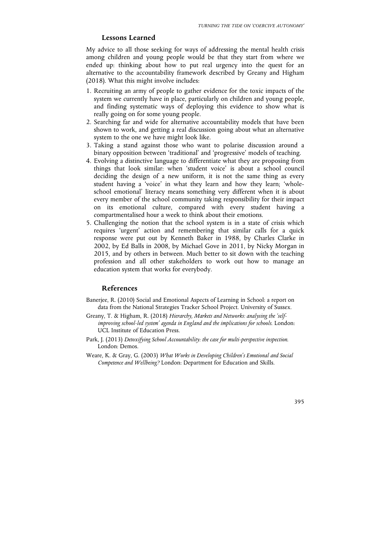## **Lessons Learned**

My advice to all those seeking for ways of addressing the mental health crisis among children and young people would be that they start from where we ended up: thinking about how to put real urgency into the quest for an alternative to the accountability framework described by Greany and Higham (2018). What this might involve includes:

- 1. Recruiting an army of people to gather evidence for the toxic impacts of the system we currently have in place, particularly on children and young people, and finding systematic ways of deploying this evidence to show what is really going on for some young people.
- 2. Searching far and wide for alternative accountability models that have been shown to work, and getting a real discussion going about what an alternative system to the one we have might look like.
- 3. Taking a stand against those who want to polarise discussion around a binary opposition between 'traditional' and 'progressive' models of teaching.
- 4. Evolving a distinctive language to differentiate what they are proposing from things that look similar: when 'student voice' is about a school council deciding the design of a new uniform, it is not the same thing as every student having a 'voice' in what they learn and how they learn; 'wholeschool emotional' literacy means something very different when it is about every member of the school community taking responsibility for their impact on its emotional culture, compared with every student having a compartmentalised hour a week to think about their emotions.
- 5. Challenging the notion that the school system is in a state of crisis which requires 'urgent' action and remembering that similar calls for a quick response were put out by Kenneth Baker in 1988, by Charles Clarke in 2002, by Ed Balls in 2008, by Michael Gove in 2011, by Nicky Morgan in 2015, and by others in between. Much better to sit down with the teaching profession and all other stakeholders to work out how to manage an education system that works for everybody.

## **References**

- Banerjee, R. (2010) Social and Emotional Aspects of Learning in School: a report on data from the National Strategies Tracker School Project. University of Sussex.
- Greany, T. & Higham, R. (2018) *Hierarchy, Markets and Networks: analysing the 'selfimproving school-led system' agenda in England and the implications for schools*. London: UCL Institute of Education Press.
- Park, J. (2013) *Detoxifying School Accountability: the case for multi-perspective inspection*. London: Demos.
- Weare, K. & Gray, G. (2003) *What Works in Developing Children's Emotional and Social Competence and Wellbeing?* London: Department for Education and Skills.